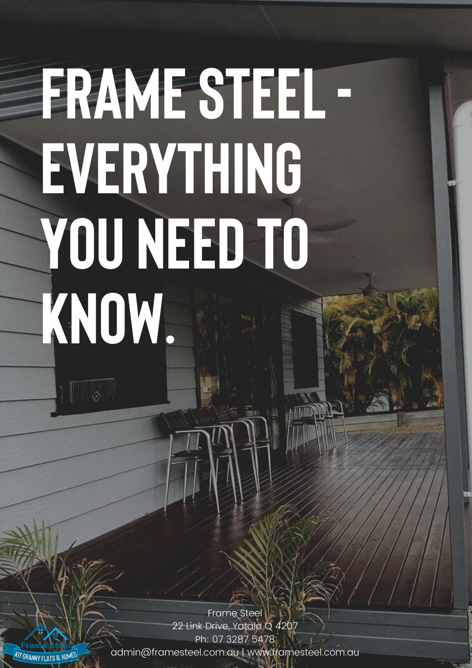# **FRAMESTEEL-EVERYTHING YOU NEED TO KNOW.**

Frame Steel 22 Link Drive, Yatala Q 4207 Ph: 07 3287 5478 admin@framesteel.com.au | www.framesteel.com.au

**KIT GRANNY FLATS & HOMES** 

 $\sqrt{2}$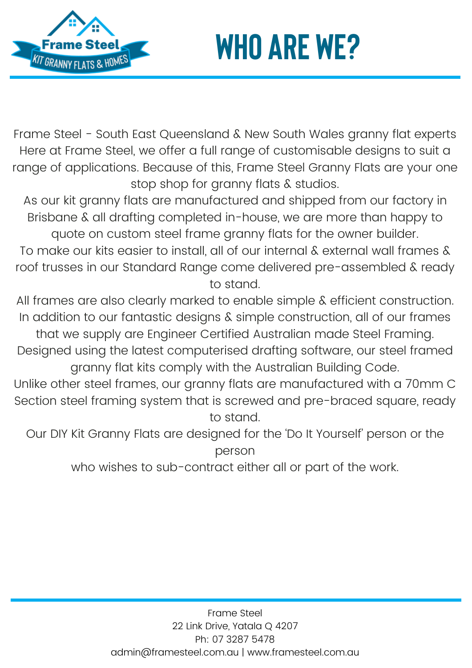



Frame Steel - South East Queensland & New South Wales granny flat experts Here at Frame Steel, we offer a full range of customisable designs to suit a range of applications. Because of this, Frame Steel Granny Flats are your one stop shop for granny flats & studios.

As our kit granny flats are manufactured and shipped from our factory in Brisbane & all drafting completed in-house, we are more than happy to quote on custom steel frame granny flats for the owner builder.

To make our kits easier to install, all of our internal & external wall frames & roof trusses in our Standard Range come delivered pre-assembled & ready to stand.

All frames are also clearly marked to enable simple & efficient construction. In addition to our fantastic designs & simple construction, all of our frames that we supply are Engineer Certified Australian made Steel Framing.

Designed using the latest computerised drafting software, our steel framed granny flat kits comply with the Australian Building Code.

Unlike other steel frames, our granny flats are manufactured with a 70mm C Section steel framing system that is screwed and pre-braced square, ready to stand.

Our DIY Kit Granny Flats are designed for the 'Do It Yourself' person or the person

who wishes to sub-contract either all or part of the work.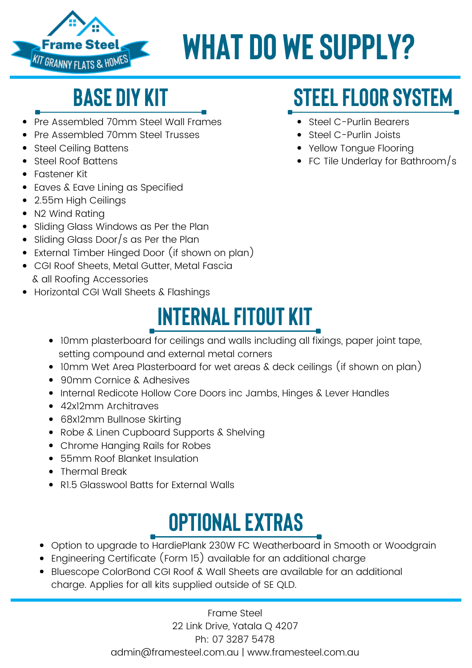

# **WHAT DO WESUPPLY?**

### **base diy kit**

- Pre Assembled 70mm Steel Wall Frames
- Pre Assembled 70mm Steel Trusses
- Steel Ceiling Battens
- Steel Roof Battens
- Fastener Kit
- Eaves & Eave Lining as Specified
- 2.55m High Ceilings
- N2 Wind Rating
- Sliding Glass Windows as Per the Plan
- Sliding Glass Door/s as Per the Plan
- External Timber Hinged Door (if shown on plan)
- CGI Roof Sheets, Metal Gutter, Metal Fascia & all Roofing Accessories
- Horizontal CGI Wall Sheets & Flashings

### **INTERNAL FITOUT KIT**

- 10mm plasterboard for ceilings and walls including all fixings, paper joint tape, setting compound and external metal corners
- 10mm Wet Area Plasterboard for wet areas & deck ceilings (if shown on plan)
- 90mm Cornice & Adhesives
- Internal Redicote Hollow Core Doors inc Jambs, Hinges & Lever Handles
- 42x12mm Architraves
- 68x12mm Bullnose Skirting
- Robe & Linen Cupboard Supports & Shelving
- Chrome Hanging Rails for Robes
- 55mm Roof Blanket Insulation
- Thermal Break
- RI.5 Glasswool Batts for External Walls

### **OPTIONAL EXTRAS**

- Option to upgrade to HardiePlank 230W FC Weatherboard in Smooth or Woodgrain
- Engineering Certificate (Form 15) available for an additional charge
- Bluescope ColorBond CGI Roof & Wall Sheets are available for an additional charge. Applies for all kits supplied outside of SE QLD.

Frame Steel 22 Link Drive, Yatala Q 4207 Ph: 07 3287 5478 admin@framesteel.com.au | www.framesteel.com.au

### **STEEL FLOOR SYSTEM**

- Steel C-Purlin Bearers
- Steel C-Purlin Joists
- Yellow Tongue Flooring
- FC Tile Underlay for Bathroom/s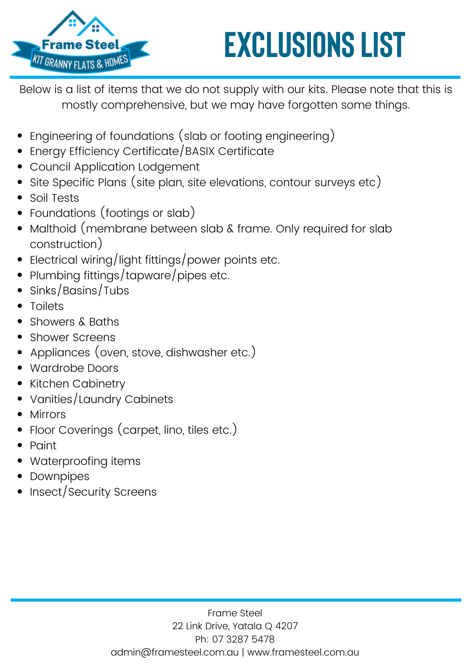

# **EXCLUSIONS LIST**

Below is a list of items that we do not supply with our kits. Please note that this is mostly comprehensive, but we may have forgotten some things.

- Engineering of foundations (slab or footing engineering)
- Energy Efficiency Certificate/BASIX Certificate
- Council Application Lodgement
- Site Specific Plans (site plan, site elevations, contour surveys etc)
- Soil Tests
- Foundations (footings or slab)
- Malthoid (membrane between slab & frame. Only required for slab construction)
- Electrical wiring/light fittings/power points etc.
- Plumbing fittings/tapware/pipes etc.
- Sinks/Basins/Tubs
- Toilets
- Showers & Baths
- Shower Screens
- Appliances (oven, stove, dishwasher etc.)
- Wardrobe Doors
- Kitchen Cabinetry
- Vanities/Laundry Cabinets
- Mirrors
- Floor Coverings (carpet, lino, tiles etc.)
- Paint
- Waterproofing items
- Downpipes
- Insect/Security Screens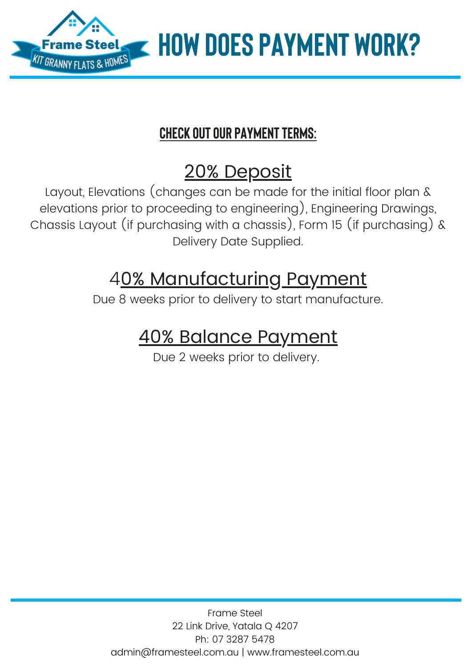

**CHECK OUT OUR PAYMENT TERMS:** 

### 20% Deposit

Layout, Elevations (changes can be made for the initial floor plan & elevations prior to proceeding to engineering), Engineering Drawings, Chassis Layout (if purchasing with a chassis), Form 15 (if purchasing) & Delivery Date Supplied.

### 40% Manufacturing Payment

Due 8 weeks prior to delivery to start manufacture.

### 40% Balance Payment

Due 2 weeks prior to delivery.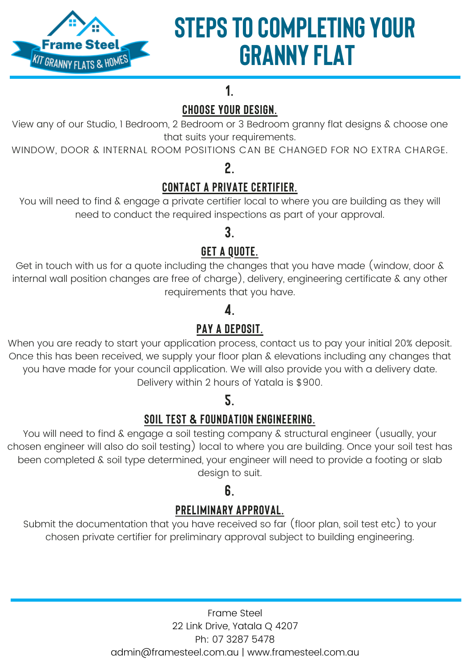

### **STEPS TO COMPLETING YOUR GRANNY FLAT**

### **1.**

### **CHOOSE YOUR DESIGN.**

View any of our [Studio](http://framesteel.com.au/studio-granny-flat-designs-brisbane/), 1 [Bedroom](http://framesteel.com.au/1-bedroom-granny-flat-designs-brisbane/), 2 [Bedroom](http://framesteel.com.au/2-bedroom-granny-flat-designs-brisbane/) or 3 [Bedroom](http://framesteel.com.au/3-bedroom-granny-flat-designs-brisbane/) granny flat designs & choose one that suits your requirements.

WINDOW, DOOR & INTERNAL ROOM POSITIONS CAN BE CHANGED FOR NO EXTRA CHARGE.

### **2.**

### **CONTACT A PRIVATE CERTIFIER.**

You will need to find  $\&$  engage a private certifier local to where you are building as they will need to conduct the required inspections as part of your approval.

### **3.**

### **GET A QUOTE.**

Get in [touch](http://framesteel.com.au/contact-brisbane-granny-flats/) with us for a quote including the changes that you have made (window, door & internal wall position changes are free of charge), delivery, engineering certificate & any other requirements that you have.

### **4.**

### **PAY A DEPOSIT.**

When you are ready to start your application process, [contact](http://framesteel.com.au/contact-brisbane-granny-flats/) us to pay your initial 20% deposit. Once this has been received, we supply your floor plan & elevations including any changes that you have made for your council application. We will also provide you with a delivery date. Delivery within 2 hours of Yatala is \$900.

### **5.**

### **SOIL TEST & FOUNDATION ENGINEERING.**

You will need to find & engage a soil testing company & structural engineer (usually, your chosen engineer will also do soil testing) local to where you are building. Once your soil test has been completed & soil type determined, your engineer will need to provide a footing or slab design to suit.

### **6.**

### **PRELIMINARY APPROVAL.**

Submit the documentation that you have received so far (floor plan, soil test etc) to your chosen private certifier for preliminary approval subject to building engineering.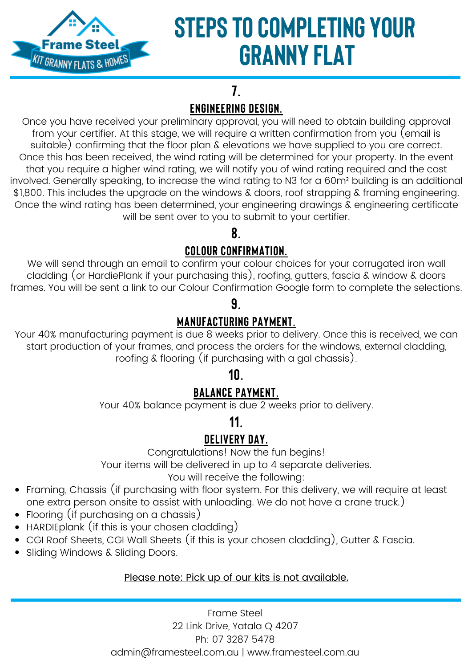

### **STEPS TO COMPLETING YOUR GRANNY FLAT**

### **7. ENGINEERING DESIGN.**

Once you have received your preliminary approval, you will need to obtain building approval from your certifier. At this stage, we will require a written confirmation from you (email is suitable) confirming that the floor plan & elevations we have supplied to you are correct. Once this has been received, the wind rating will be determined for your property. In the event that you require a higher wind rating, we will notify you of wind rating required and the cost involved. Generally speaking, to increase the wind rating to N3 for a 60m² building is an additional \$1,800. This includes the upgrade on the windows & doors, roof strapping & framing engineering. Once the wind rating has been determined, your engineering drawings & engineering certificate will be sent over to you to submit to your certifier.

### **8.**

### **COLOUR CONFIRMATION.**

We will send through an email to confirm your colour choices for your corrugated iron wall cladding (or HardiePlank if your purchasing this), roofing, gutters, fascia & window & doors frames. You will be sent a link to our Colour Confirmation Google form to complete the selections.

#### **9.**

### **MANUFACTURING PAYMENT.**

Your 40% manufacturing payment is due 8 weeks prior to delivery. Once this is received, we can start production of your frames, and process the orders for the windows, external cladding, roofing & flooring (if purchasing with a gal chassis).

### **10.**

### **BALANCE PAYMENT.**

Your 40% balance payment is due 2 weeks prior to delivery.

### **11.**

### **DELIVERY DAY.**

Congratulations! Now the fun begins!

Your items will be delivered in up to 4 separate deliveries.

You will receive the following:

- Framing, Chassis (if purchasing with floor system. For this delivery, we will require at least one extra person onsite to assist with unloading. We do not have a crane truck.)
- Flooring (if purchasing on a chassis)
- HARDIEplank (if this is your chosen cladding)
- CGI Roof Sheets, CGI Wall Sheets (if this is your chosen cladding), Gutter & Fascia.
- Sliding Windows & Sliding Doors.

#### Please note: Pick up of our kits is not available.